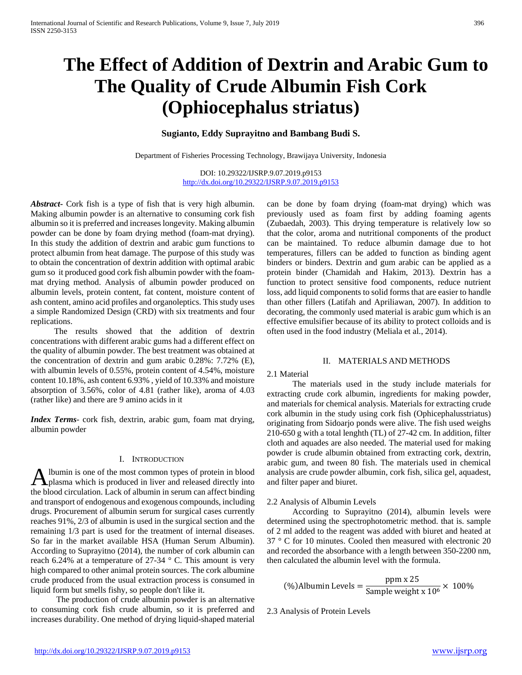# **The Effect of Addition of Dextrin and Arabic Gum to The Quality of Crude Albumin Fish Cork (Ophiocephalus striatus)**

## **Sugianto, Eddy Suprayitno and Bambang Budi S.**

Department of Fisheries Processing Technology, Brawijaya University, Indonesia

DOI: 10.29322/IJSRP.9.07.2019.p9153 <http://dx.doi.org/10.29322/IJSRP.9.07.2019.p9153>

*Abstract***-** Cork fish is a type of fish that is very high albumin. Making albumin powder is an alternative to consuming cork fish albumin so it is preferred and increases longevity. Making albumin powder can be done by foam drying method (foam-mat drying). In this study the addition of dextrin and arabic gum functions to protect albumin from heat damage. The purpose of this study was to obtain the concentration of dextrin addition with optimal arabic gum so it produced good cork fish albumin powder with the foammat drying method. Analysis of albumin powder produced on albumin levels, protein content, fat content, moisture content of ash content, amino acid profiles and organoleptics. This study uses a simple Randomized Design (CRD) with six treatments and four replications.

 The results showed that the addition of dextrin concentrations with different arabic gums had a different effect on the quality of albumin powder. The best treatment was obtained at the concentration of dextrin and gum arabic 0.28%: 7.72% (E), with albumin levels of 0.55%, protein content of 4.54%, moisture content 10.18%, ash content 6.93% , yield of 10.33% and moisture absorption of 3.56%, color of 4.81 (rather like), aroma of 4.03 (rather like) and there are 9 amino acids in it

*Index Terms*- cork fish, dextrin, arabic gum, foam mat drying, albumin powder

## I. INTRODUCTION

lbumin is one of the most common types of protein in blood A lbumin is one of the most common types of protein in blood<br>plasma which is produced in liver and released directly into the blood circulation. Lack of albumin in serum can affect binding and transport of endogenous and exogenous compounds, including drugs. Procurement of albumin serum for surgical cases currently reaches 91%, 2/3 of albumin is used in the surgical section and the remaining 1/3 part is used for the treatment of internal diseases. So far in the market available HSA (Human Serum Albumin). According to Suprayitno (2014), the number of cork albumin can reach 6.24% at a temperature of  $27-34$  ° C. This amount is very high compared to other animal protein sources. The cork albumine crude produced from the usual extraction process is consumed in liquid form but smells fishy, so people don't like it.

 The production of crude albumin powder is an alternative to consuming cork fish crude albumin, so it is preferred and increases durability. One method of drying liquid-shaped material

can be done by foam drying (foam-mat drying) which was previously used as foam first by adding foaming agents (Zubaedah, 2003). This drying temperature is relatively low so that the color, aroma and nutritional components of the product can be maintained. To reduce albumin damage due to hot temperatures, fillers can be added to function as binding agent binders or binders. Dextrin and gum arabic can be applied as a protein binder (Chamidah and Hakim, 2013). Dextrin has a function to protect sensitive food components, reduce nutrient loss, add liquid components to solid forms that are easier to handle than other fillers (Latifah and Apriliawan, 2007). In addition to decorating, the commonly used material is arabic gum which is an effective emulsifier because of its ability to protect colloids and is often used in the food industry (Meliala et al., 2014).

## II. MATERIALS AND METHODS

#### 2.1 Material

 The materials used in the study include materials for extracting crude cork albumin, ingredients for making powder, and materials for chemical analysis. Materials for extracting crude cork albumin in the study using cork fish (Ophicephalusstriatus) originating from Sidoarjo ponds were alive. The fish used weighs 210-650 g with a total lenghth (TL) of 27-42 cm. In addition, filter cloth and aquades are also needed. The material used for making powder is crude albumin obtained from extracting cork, dextrin, arabic gum, and tween 80 fish. The materials used in chemical analysis are crude powder albumin, cork fish, silica gel, aquadest, and filter paper and biuret.

#### 2.2 Analysis of Albumin Levels

 According to Suprayitno (2014), albumin levels were determined using the spectrophotometric method. that is. sample of 2 ml added to the reagent was added with biuret and heated at 37 ° C for 10 minutes. Cooled then measured with electronic 20 and recorded the absorbance with a length between 350-2200 nm, then calculated the albumin level with the formula.

$$
\text{(%)Albumin Levels} = \frac{\text{ppm x 25}}{\text{Sample weight x 10}^6} \times 100\%
$$

2.3 Analysis of Protein Levels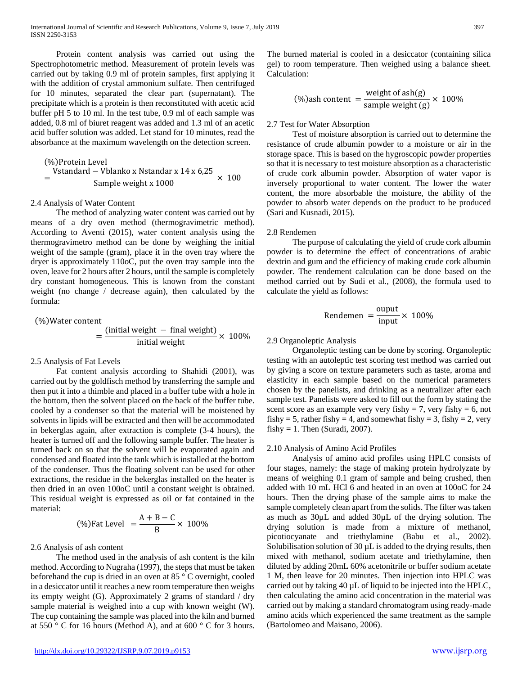Protein content analysis was carried out using the Spectrophotometric method. Measurement of protein levels was carried out by taking 0.9 ml of protein samples, first applying it with the addition of crystal ammonium sulfate. Then centrifuged for 10 minutes, separated the clear part (supernatant). The precipitate which is a protein is then reconstituted with acetic acid buffer pH 5 to 10 ml. In the test tube, 0.9 ml of each sample was added, 0.8 ml of biuret reagent was added and 1.3 ml of an acetic acid buffer solution was added. Let stand for 10 minutes, read the absorbance at the maximum wavelength on the detection screen.

$$
=\frac{\text{Vstandard} - \text{Vblanko x Nstandard x 14 x 6,25}}{\text{Sample weight x 1000}} \times 100
$$

2.4 Analysis of Water Content

 The method of analyzing water content was carried out by means of a dry oven method (thermogravimetric method). According to Aventi (2015), water content analysis using the thermogravimetro method can be done by weighing the initial weight of the sample (gram), place it in the oven tray where the dryer is approximately 110oC, put the oven tray sample into the oven, leave for 2 hours after 2 hours, until the sample is completely dry constant homogeneous. This is known from the constant weight (no change / decrease again), then calculated by the formula:

(%)Water content

$$
= \frac{\text{(initial weight - final weight)}}{\text{initial weight}} \times 100\%
$$

## 2.5 Analysis of Fat Levels

 Fat content analysis according to Shahidi (2001), was carried out by the goldfisch method by transferring the sample and then put it into a thimble and placed in a buffer tube with a hole in the bottom, then the solvent placed on the back of the buffer tube. cooled by a condenser so that the material will be moistened by solvents in lipids will be extracted and then will be accommodated in bekerglas again, after extraction is complete (3-4 hours), the heater is turned off and the following sample buffer. The heater is turned back on so that the solvent will be evaporated again and condensed and floated into the tank which is installed at the bottom of the condenser. Thus the floating solvent can be used for other extractions, the residue in the bekerglas installed on the heater is then dried in an oven 100oC until a constant weight is obtained. This residual weight is expressed as oil or fat contained in the material:

$$
(\%) \text{Fat Level } = \frac{A + B - C}{B} \times 100\%
$$

## 2.6 Analysis of ash content

 The method used in the analysis of ash content is the kiln method. According to Nugraha (1997), the steps that must be taken beforehand the cup is dried in an oven at 85 ° C overnight, cooled in a desiccator until it reaches a new room temperature then weighs its empty weight (G). Approximately 2 grams of standard / dry sample material is weighed into a cup with known weight (W). The cup containing the sample was placed into the kiln and burned at 550  $\degree$  C for 16 hours (Method A), and at 600  $\degree$  C for 3 hours.

The burned material is cooled in a desiccator (containing silica gel) to room temperature. Then weighed using a balance sheet. Calculation:

$$
(\%)ash content = \frac{weight \ of \ ash(g)}{\mathrm{sample \ weight (g)}} \times 100\%
$$

## 2.7 Test for Water Absorption

 Test of moisture absorption is carried out to determine the resistance of crude albumin powder to a moisture or air in the storage space. This is based on the hygroscopic powder properties so that it is necessary to test moisture absorption as a characteristic of crude cork albumin powder. Absorption of water vapor is inversely proportional to water content. The lower the water content, the more absorbable the moisture, the ability of the powder to absorb water depends on the product to be produced (Sari and Kusnadi, 2015).

## 2.8 Rendemen

 The purpose of calculating the yield of crude cork albumin powder is to determine the effect of concentrations of arabic dextrin and gum and the efficiency of making crude cork albumin powder. The rendement calculation can be done based on the method carried out by Sudi et al., (2008), the formula used to calculate the yield as follows:

$$
Randomen = \frac{output}{input} \times 100\%
$$

## 2.9 Organoleptic Analysis

 Organoleptic testing can be done by scoring. Organoleptic testing with an autoleptic test scoring test method was carried out by giving a score on texture parameters such as taste, aroma and elasticity in each sample based on the numerical parameters chosen by the panelists, and drinking as a neutralizer after each sample test. Panelists were asked to fill out the form by stating the scent score as an example very very fishy  $= 7$ , very fishy  $= 6$ , not fishy = 5, rather fishy = 4, and somewhat fishy = 3, fishy = 2, very fishy = 1. Then (Suradi, 2007).

#### 2.10 Analysis of Amino Acid Profiles

 Analysis of amino acid profiles using HPLC consists of four stages, namely: the stage of making protein hydrolyzate by means of weighing 0.1 gram of sample and being crushed, then added with 10 mL HCl 6 and heated in an oven at 100oC for 24 hours. Then the drying phase of the sample aims to make the sample completely clean apart from the solids. The filter was taken as much as 30µL and added 30µL of the drying solution. The drying solution is made from a mixture of methanol, picotiocyanate and triethylamine (Babu et al., 2002). Solubilisation solution of 30  $\mu$ L is added to the drying results, then mixed with methanol, sodium acetate and triethylamine, then diluted by adding 20mL 60% acetonitrile or buffer sodium acetate 1 M, then leave for 20 minutes. Then injection into HPLC was carried out by taking 40 µL of liquid to be injected into the HPLC, then calculating the amino acid concentration in the material was carried out by making a standard chromatogram using ready-made amino acids which experienced the same treatment as the sample (Bartolomeo and Maisano, 2006).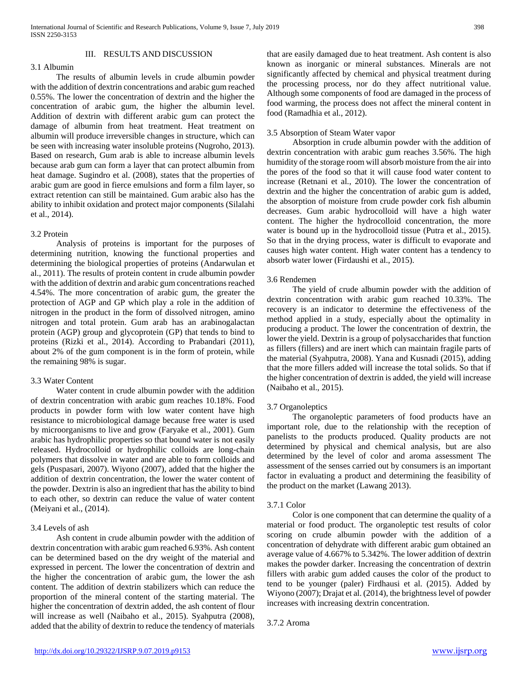## 3.1 Albumin

 The results of albumin levels in crude albumin powder with the addition of dextrin concentrations and arabic gum reached 0.55%. The lower the concentration of dextrin and the higher the concentration of arabic gum, the higher the albumin level. Addition of dextrin with different arabic gum can protect the damage of albumin from heat treatment. Heat treatment on albumin will produce irreversible changes in structure, which can be seen with increasing water insoluble proteins (Nugroho, 2013). Based on research, Gum arab is able to increase albumin levels because arab gum can form a layer that can protect albumin from heat damage. Sugindro et al. (2008), states that the properties of arabic gum are good in fierce emulsions and form a film layer, so extract retention can still be maintained. Gum arabic also has the ability to inhibit oxidation and protect major components (Silalahi et al., 2014).

#### 3.2 Protein

 Analysis of proteins is important for the purposes of determining nutrition, knowing the functional properties and determining the biological properties of proteins (Andarwulan et al., 2011). The results of protein content in crude albumin powder with the addition of dextrin and arabic gum concentrations reached 4.54%. The more concentration of arabic gum, the greater the protection of AGP and GP which play a role in the addition of nitrogen in the product in the form of dissolved nitrogen, amino nitrogen and total protein. Gum arab has an arabinogalactan protein (AGP) group and glycoprotein (GP) that tends to bind to proteins (Rizki et al., 2014). According to Prabandari (2011), about 2% of the gum component is in the form of protein, while the remaining 98% is sugar.

### 3.3 Water Content

 Water content in crude albumin powder with the addition of dextrin concentration with arabic gum reaches 10.18%. Food products in powder form with low water content have high resistance to microbiological damage because free water is used by microorganisms to live and grow (Faryake et al., 2001). Gum arabic has hydrophilic properties so that bound water is not easily released. Hydrocolloid or hydrophilic colloids are long-chain polymers that dissolve in water and are able to form colloids and gels (Puspasari, 2007). Wiyono (2007), added that the higher the addition of dextrin concentration, the lower the water content of the powder. Dextrin is also an ingredient that has the ability to bind to each other, so dextrin can reduce the value of water content (Meiyani et al., (2014).

## 3.4 Levels of ash

 Ash content in crude albumin powder with the addition of dextrin concentration with arabic gum reached 6.93%. Ash content can be determined based on the dry weight of the material and expressed in percent. The lower the concentration of dextrin and the higher the concentration of arabic gum, the lower the ash content. The addition of dextrin stabilizers which can reduce the proportion of the mineral content of the starting material. The higher the concentration of dextrin added, the ash content of flour will increase as well (Naibaho et al., 2015). Syahputra (2008), added that the ability of dextrin to reduce the tendency of materials that are easily damaged due to heat treatment. Ash content is also known as inorganic or mineral substances. Minerals are not significantly affected by chemical and physical treatment during the processing process, nor do they affect nutritional value. Although some components of food are damaged in the process of food warming, the process does not affect the mineral content in food (Ramadhia et al., 2012).

#### 3.5 Absorption of Steam Water vapor

 Absorption in crude albumin powder with the addition of dextrin concentration with arabic gum reaches 3.56%. The high humidity of the storage room will absorb moisture from the air into the pores of the food so that it will cause food water content to increase (Retnani et al., 2010). The lower the concentration of dextrin and the higher the concentration of arabic gum is added, the absorption of moisture from crude powder cork fish albumin decreases. Gum arabic hydrocolloid will have a high water content. The higher the hydrocolloid concentration, the more water is bound up in the hydrocolloid tissue (Putra et al., 2015). So that in the drying process, water is difficult to evaporate and causes high water content. High water content has a tendency to absorb water lower (Firdaushi et al., 2015).

#### 3.6 Rendemen

 The yield of crude albumin powder with the addition of dextrin concentration with arabic gum reached 10.33%. The recovery is an indicator to determine the effectiveness of the method applied in a study, especially about the optimality in producing a product. The lower the concentration of dextrin, the lower the yield. Dextrin is a group of polysaccharides that function as fillers (fillers) and are inert which can maintain fragile parts of the material (Syahputra, 2008). Yana and Kusnadi (2015), adding that the more fillers added will increase the total solids. So that if the higher concentration of dextrin is added, the yield will increase (Naibaho et al., 2015).

## 3.7 Organoleptics

 The organoleptic parameters of food products have an important role, due to the relationship with the reception of panelists to the products produced. Quality products are not determined by physical and chemical analysis, but are also determined by the level of color and aroma assessment The assessment of the senses carried out by consumers is an important factor in evaluating a product and determining the feasibility of the product on the market (Lawang 2013).

#### 3.7.1 Color

 Color is one component that can determine the quality of a material or food product. The organoleptic test results of color scoring on crude albumin powder with the addition of a concentration of dehydrate with different arabic gum obtained an average value of 4.667% to 5.342%. The lower addition of dextrin makes the powder darker. Increasing the concentration of dextrin fillers with arabic gum added causes the color of the product to tend to be younger (paler) Firdhausi et al. (2015). Added by Wiyono (2007); Drajat et al. (2014), the brightness level of powder increases with increasing dextrin concentration.

3.7.2 Aroma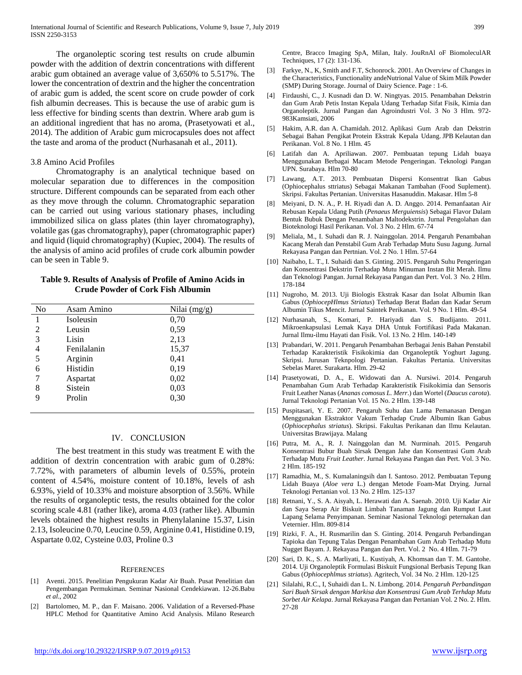The organoleptic scoring test results on crude albumin powder with the addition of dextrin concentrations with different arabic gum obtained an average value of 3,650% to 5.517%. The lower the concentration of dextrin and the higher the concentration of arabic gum is added, the scent score on crude powder of cork fish albumin decreases. This is because the use of arabic gum is less effective for binding scents than dextrin. Where arab gum is an additional ingredient that has no aroma, (Prasetyowati et al., 2014). The addition of Arabic gum microcapsules does not affect the taste and aroma of the product (Nurhasanah et al., 2011).

## 3.8 Amino Acid Profiles

 Chromatography is an analytical technique based on molecular separation due to differences in the composition structure. Different compounds can be separated from each other as they move through the column. Chromatographic separation can be carried out using various stationary phases, including immobilized silica on glass plates (thin layer chromatography), volatile gas (gas chromatography), paper (chromatographic paper) and liquid (liquid chromatography) (Kupiec, 2004). The results of the analysis of amino acid profiles of crude cork albumin powder can be seen in Table 9.

## **Table 9. Results of Analysis of Profile of Amino Acids in Crude Powder of Cork Fish Albumin**

| No | Asam Amino  | Nilai (mg/g) |  |
|----|-------------|--------------|--|
|    | Isoleusin   | 0,70         |  |
| 2  | Leusin      | 0,59         |  |
| 3  | Lisin       | 2,13         |  |
| 4  | Fenilalanin | 15,37        |  |
| 5  | Arginin     | 0,41         |  |
| 6  | Histidin    | 0,19         |  |
| 7  | Aspartat    | 0,02         |  |
| 8  | Sistein     | 0,03         |  |
| 9  | Prolin      | 0,30         |  |
|    |             |              |  |

#### IV. CONCLUSION

 The best treatment in this study was treatment E with the addition of dextrin concentration with arabic gum of 0.28%: 7.72%, with parameters of albumin levels of 0.55%, protein content of 4.54%, moisture content of 10.18%, levels of ash 6.93%, yield of 10.33% and moisture absorption of 3.56%. While the results of organoleptic tests, the results obtained for the color scoring scale 4.81 (rather like), aroma 4.03 (rather like). Albumin levels obtained the highest results in Phenylalanine 15.37, Lisin 2.13, Isoleucine 0.70, Leucine 0.59, Arginine 0.41, Histidine 0.19, Aspartate 0.02, Cysteine 0.03, Proline 0.3

#### **REFERENCES**

- [1] Aventi. 2015. Penelitian Pengukuran Kadar Air Buah. Pusat Penelitian dan Pengembangan Permukiman. Seminar Nasional Cendekiawan. 12-26.Babu *et al*., 2002
- [2] Bartolomeo, M. P., dan F. Maisano. 2006. Validation of a Reversed-Phase HPLC Method for Quantitative Amino Acid Analysis. Milano Research

Centre, Bracco Imaging SpA, Milan, Italy. JouRnAl oF BiomoleculAR Techniques, 17 (2): 131-136.

- [3] Farkye, N., K, Smith and F.T, Schonrock. 2001. An Overview of Changes in the Characteristics, Functionality andeNutrional Value of Skim Milk Powder (SMP) During Storage. Journal of Dairy Science. Page : 1-6.
- [4] Firdaushi, C., J. Kusnadi dan D. W. Ningtyas. 2015. Penambahan Dekstrin dan Gum Arab Petis Instan Kepala Udang Terhadap Sifat Fisik, Kimia dan Organoleptik. Jurnal Pangan dan Agroindustri Vol. 3 No 3 Hlm. 972- 983Kamsiati, 2006
- [5] Hakim, A.R. dan A. Chamidah. 2012. Aplikasi Gum Arab dan Dekstrin Sebagai Bahan Pengikat Protein Ekstrak Kepala Udang. JPB Kelautan dan Perikanan. Vol. 8 No. 1 Hlm. 45
- [6] Latifah dan A. Apriliawan. 2007. Pembuatan tepung Lidah buaya Menggunakan Berbagai Macam Metode Pengeringan. Teknologi Pangan UPN. Surabaya. Hlm 70-80
- [7] Lawang, A.T. 2013. Pembuatan Dispersi Konsentrat Ikan Gabus (Ophiocephalus sttriatus) Sebagai Makanan Tambahan (Food Suplement). Skripsi. Fakultas Pertanian. Universitas Hasanuddin. Makasar. Hlm 5-8
- [8] Meiyani, D. N. A., P. H. Riyadi dan A. D. Anggo. 2014. Pemanfaatan Air Rebusan Kepala Udang Putih (*Penaeus Merguiensis*) Sebagai Flavor Dalam Bentuk Bubuk Dengan Penambahan Maltodekstrin. Jurnal Pengolahan dan Bioteknologi Hasil Perikanan. Vol. 3 No. 2 Hlm. 67-74
- [9] Meliala, M., I. Suhadi dan R. J. Nainggolan. 2014. Pengaruh Penambahan Kacang Merah dan Penstabil Gum Arab Terhadap Mutu Susu Jagung. Jurnal Rekayasa Pangan dan Pertnian. Vol. 2 No. 1 Hlm. 57-64
- [10] Naibaho, L. T., I. Suhaidi dan S. Ginting. 2015. Pengaruh Suhu Pengeringan dan Konsentrasi Dekstrin Terhadap Mutu Minuman Instan Bit Merah. Ilmu dan Teknologi Pangan. Jurnal Rekayasa Pangan dan Pert. Vol. 3 No. 2 Hlm. 178-184
- [11] Nugroho, M. 2013. Uji Biologis Ekstrak Kasar dan Isolat Albumin Ikan Gabus (*OphiocepHlmus Striatus*) Terhadap Berat Badan dan Kadar Serum Albumin Tikus Mencit. Jurnal Saintek Perikanan. Vol. 9 No. 1 Hlm. 49-54
- [12] Nurhasanah, S., Komari, P. Hariyadi dan S. Budijanto. 2011. Mikroenkapsulasi Lemak Kaya DHA Untuk Fortifikasi Pada Makanan. Jurnal Ilmu-ilmu Hayati dan Fisik. Vol. 13 No. 2 Hlm. 140-149
- [13] Prabandari, W. 2011. Pengaruh Penambahan Berbagai Jenis Bahan Penstabil Terhadap Karakteristik Fisikokimia dan Organoleptik Yoghurt Jagung. Skripsi. Jurusan Teknpologi Pertanian. Fakultas Pertania. Universitas Sebelas Maret. Surakarta. Hlm. 29-42
- [14] Prasetyowati, D. A., E. Widowati dan A. Nursiwi. 2014. Pengaruh Penambahan Gum Arab Terhadap Karakteristik Fisikokimia dan Sensoris Fruit Leather Nanas (*Ananas comosus L. Merr*.) dan Wortel (*Daucus carota*). Jurnal Teknologi Pertanian Vol. 15 No. 2 Hlm. 139-148
- [15] Puspitasari, Y. E. 2007. Pengaruh Suhu dan Lama Pemanasan Dengan Menggunakan Ekstraktor Vakum Terhadap Crude Albumin Ikan Gabus (*Ophiocephalus striatus*). Skripsi. Fakultas Perikanan dan Ilmu Kelautan. Universitas Brawijaya. Malang
- [16] Putra, M. A., R. J. Nainggolan dan M. Nurminah. 2015. Pengaruh Konsentrasi Bubur Buah Sirsak Dengan Jahe dan Konsentrasi Gum Arab Terhadap Mutu *Fruit Leather*. Jurnal Rekayasa Pangan dan Pert. Vol. 3 No. 2 Hlm. 185-192
- [17] Ramadhia, M., S. Kumalaningsih dan I. Santoso. 2012. Pembuatan Tepung Lidah Buaya (*Aloe vera* L.) dengan Metode Foam-Mat Drying. Jurnal Teknologi Pertanian vol. 13 No. 2 Hlm. 125-137
- [18] Retnani, Y., S. A. Aisyah, L. Herawati dan A. Saenab. 2010. Uji Kadar Air dan Saya Serap Air Biskuit Limbah Tanaman Jagung dan Rumput Laut Lapang Selama Penyimpanan. Seminar Nasional Teknologi peternakan dan Veternier. Hlm. 809-814
- [19] Rizki, F. A., H. Rusmarilin dan S. Ginting. 2014. Pengaruh Perbandingan Tapioka dan Tepung Talas Dengan Penambahan Gum Arab Terhadap Mutu Nugget Bayam. J. Rekayasa Pangan dan Pert. Vol. 2 No. 4 Hlm. 71-79
- [20] Sari, D. K., S. A. Marliyati, L. Kustiyah, A. Khomsan dan T. M. Gantohe. 2014. Uji Organoleptik Formulasi Biskuit Fungsional Berbasis Tepung Ikan Gabus (*Ophiocephlmus striatus*). Agritech, Vol. 34 No. 2 Hlm. 120-125
- [21] Silalahi, R.C., I, Suhaidi dan L. N. Limbong. 2014. *Pengaruh Perbandingan Sari Buah Sirsak dengan Markisa dan Konsentrasi Gum Arab Terhdap Mutu Sorbet Air Kelapa*. Jurnal Rekayasa Pangan dan Pertanian Vol. 2 No. 2. Hlm. 27-28